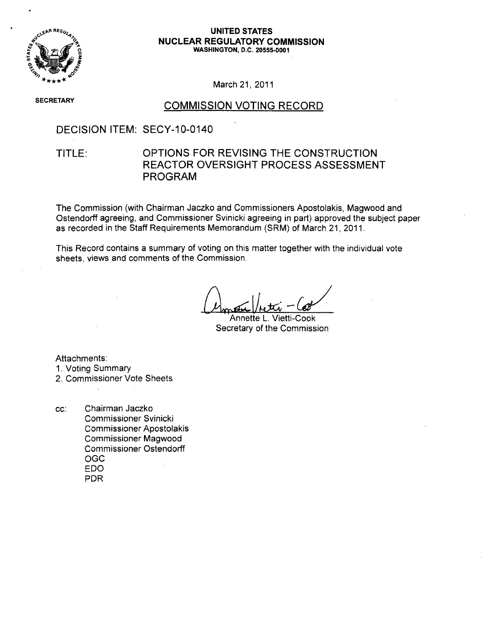

#### **REGUSE STATES NUCLEAR** REGULATORY **COMMISSION** o **WASHINGTON, D.C. 20555-0001**

March 21, 2011

**SECRETARY** 

### COMMISSION VOTING RECORD

### DECISION ITEM: SECY-10-0140

### TITLE: OPTIONS FOR REVISING THE CONSTRUCTION REACTOR OVERSIGHT PROCESS ASSESSMENT PROGRAM

The Commission (with Chairman Jaczko and Commissioners Apostolakis, Magwood and Ostendorff agreeing, and Commissioner Svinicki agreeing in part) approved the subject paper as recorded in the Staff Requirements Memorandum (SRM) of March 21, 2011.

This Record contains a summary of voting on this matter together with the individual vote sheets, views and comments of the Commission.

Annette L. Vietti-Cook Secretary of the Commission

Attachments:

- 1. Voting Summary
- 2. Commissioner Vote Sheets
- cc: Chairman Jaczko Commissioner Svinicki Commissioner Apostolakis Commissioner Magwood Commissioner Ostendorff OGC EDO PDR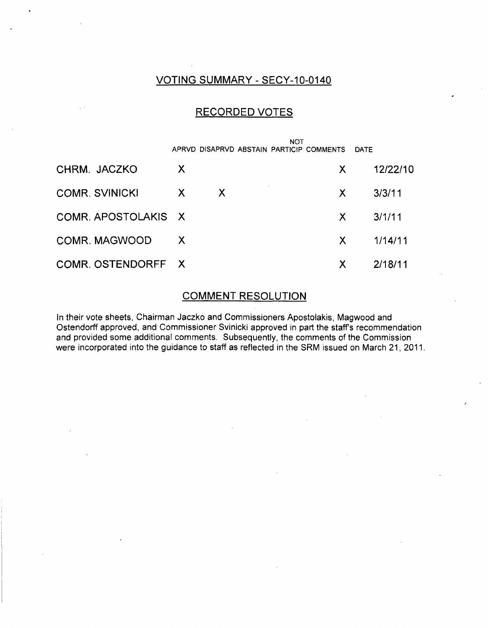### VOTING SUMMARY - SECY-10-0140

### RECORDED VOTES

|                       |    |                           | <b>NOT</b> | APRVD DISAPRVD ABSTAIN PARTICIP COMMENTS | <b>DATE</b> |          |
|-----------------------|----|---------------------------|------------|------------------------------------------|-------------|----------|
| CHRM. JACZKO          | X  |                           |            | X.                                       |             | 12/22/10 |
| <b>COMR. SVINICKI</b> | X  | $\boldsymbol{\mathsf{X}}$ |            | X.                                       |             | 3/3/11   |
| COMR. APOSTOLAKIS X   |    |                           |            | X.                                       |             | 3/1/11   |
| COMR. MAGWOOD         | X. |                           |            | X.                                       |             | 1/14/11  |
| COMR. OSTENDORFF X    |    |                           |            | X                                        |             | 2/18/11  |

### COMMENT RESOLUTION

In their vote sheets, Chairman Jaczko and Commissioners Apostolakis, Magwood and Ostendorff approved, and Commissioner Svinicki approved in part the staff's recommendation and provided some additional comments. Subsequently, the comments of the Commission were incorporated into the guidance to staff as reflected in the SRM issued on March 21, 2011.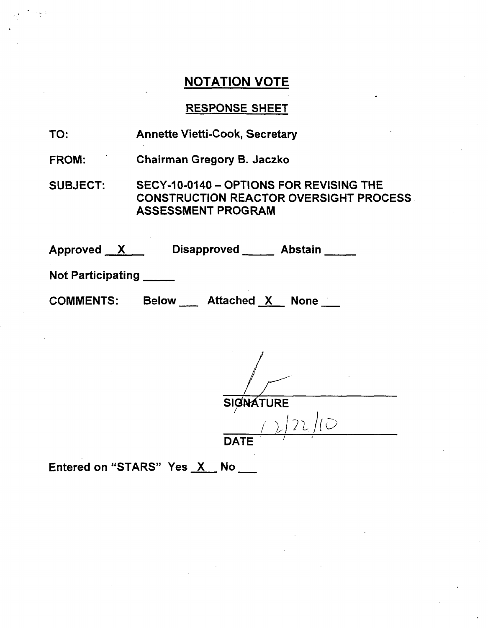### RESPONSE SHEET

| TO: | <b>Annette Vietti-Cook, Secretary</b> |
|-----|---------------------------------------|
|-----|---------------------------------------|

FROM: Chairman Gregory B. Jaczko

SUBJECT: SECY-10-0140 - OPTIONS FOR REVISING THE CONSTRUCTION REACTOR OVERSIGHT PROCESS ASSESSMENT PROGRAM

| <b>Approved</b><br>$\bm{X}$ |              | <b>Disapproved</b> | <b>Abstain</b> |  |
|-----------------------------|--------------|--------------------|----------------|--|
| <b>Not Participating</b>    |              |                    |                |  |
| <b>COMMENTS:</b>            | <b>Below</b> | Attached X         | <b>None</b>    |  |

**/fJ** SIGNATURE

 $\overline{1}$  $\left( \frac{1}{2}\right)$ / **DATF** 

Entered on "STARS" Yes X No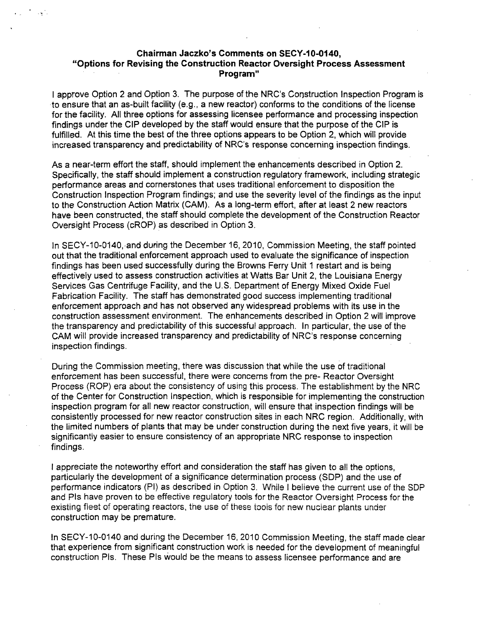### Chairman Jaczko's Comments on SECY-10-0140, "Options for Revising the Construction Reactor Oversight Process Assessment Program"

 $\sim 10^{-1}$ 

I approve Option 2 and Option 3. The purpose of the NRC's Construction Inspection Program is to ensure that an as-built facility (e.g., a new reactor) conforms to the conditions of the license for the facility. All three options for assessing licensee performance and processing inspection findings under the CIP developed by the staff would ensure that the purpose of the CIP is fulfilled. At this time the best of the three options appears to be Option 2, which will provide increased transparency and predictability of NRC's response concerning inspection findings.

As a near-term effort the staff, should implement the enhancements described in Option 2. Specifically, the staff should implement a construction regulatory framework, including strategic performance areas and cornerstones that uses traditional enforcement to disposition the Construction Inspection Program findings; and use the severity level of the findings as the input to the Construction Action Matrix (CAM). As a long-term effort, after at least 2 new reactors have been constructed, the staff should complete the development of the Construction Reactor Oversight Process (cROP) as described in Option 3.

In SECY-10-0140, and during the December 16, 2010, Commission Meeting, the staff pointed out that the traditional enforcement approach used to evaluate the significance of inspection findings has been used successfully during the Browns Ferry Unit 1 restart and is being effectively used to assess construction activities at Watts Bar Unit 2, the Louisiana Energy Services Gas Centrifuge Facility, and the U.S. Department of Energy Mixed Oxide Fuel Fabrication Facility. The staff has demonstrated good success implementing traditional enforcement approach and has not observed any widespread problems with its use in the construction assessment environment. The enhancements described in Option 2 will improve the transparency and predictability of this successful approach. In particular, the use of the CAM will provide increased transparency and predictability of NRC's response concerning inspection findings.

During the Commission meeting, there was discussion that while the use of traditional enforcement has been successful, there were concerns from the pre- Reactor Oversight Process (ROP) era about the consistency of using this process. The establishment by the NRC of the Center for Construction Inspection, which is responsible for implementing the construction inspection program for all new reactor construction, will ensure that inspection findings will be consistently processed for new reactor construction sites in each NRC region. Additionally, with the limited numbers of plants that may be under construction during the next five years, it will be significantly easier to ensure consistency of an appropriate NRC response to inspection findings.

I appreciate the noteworthy effort and consideration the staff has given to all the options, particularly the development of a significance determination process (SDP) and the use of performance indicators (PI) as described in Option 3. While I believe the current use of the SDP and PIs have proven to be effective regulatory tools for the Reactor Oversight Process for the existing fleet of operating reactors, the use of these tools for new nuclear plants under construction may be premature.

In SECY-10-0140 and during the December 16, 2010 Commission Meeting, the staff made clear that experience from significant construction work is needed for the development of meaningful construction PIs. These PIs would be the means to assess licensee performance and are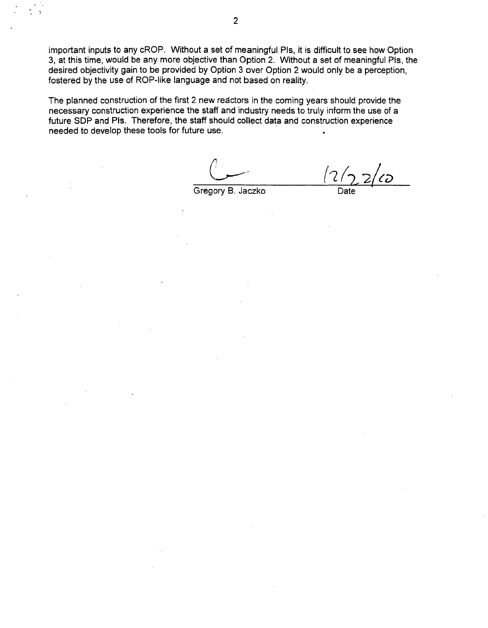important inputs to any cROP. Without a set of meaningful Pis, it is difficult to see how Option 3, at this time, would be any more objective than Option 2. Without a set of meaningful Pis, the desired objectivity gain to be provided by Option 3 over Option 2 would only be a perception, fostered by the use of ROP-like language and not based on reality.

The planned construction of the first 2 new reactors in the coming years should provide the necessary construction experience the staff and industry needs to truly inform the use of a future SDP and PIs. Therefore, the staff should collect data and construction experience needed to develop these tools for future use.

Gregory B. Jaczko

ี้เว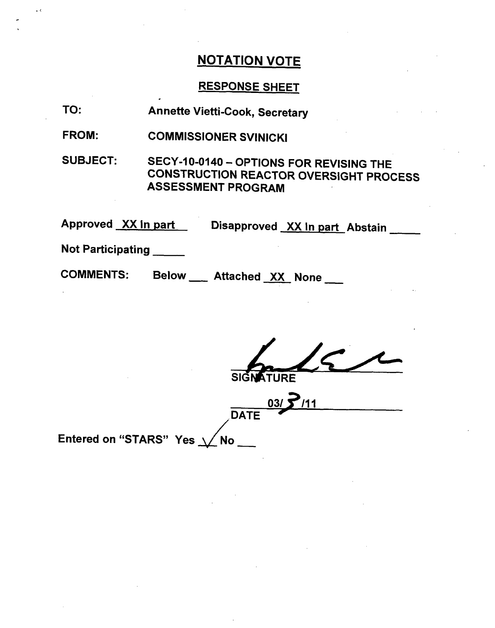$\Box$  (

# RESPONSE SHEET

| TO:                                                   | <b>Annette Vietti-Cook, Secretary</b>                                                                                 |  |  |  |
|-------------------------------------------------------|-----------------------------------------------------------------------------------------------------------------------|--|--|--|
| <b>FROM:</b>                                          | <b>COMMISSIONER SVINICKI</b>                                                                                          |  |  |  |
| <b>SUBJECT:</b>                                       | SECY-10-0140 - OPTIONS FOR REVISING THE<br><b>CONSTRUCTION REACTOR OVERSIGHT PROCESS</b><br><b>ASSESSMENT PROGRAM</b> |  |  |  |
| Approved XX in part<br>Disapproved XX In part Abstain |                                                                                                                       |  |  |  |
| <b>Not Participating</b>                              |                                                                                                                       |  |  |  |
| <b>COMMENTS:</b>                                      | <b>Below</b><br>Attached XX None                                                                                      |  |  |  |

| SIGNATURE                    |
|------------------------------|
| 7/11<br>03/                  |
| <b>DATE</b>                  |
| Entered on "STARS" Yes \/ No |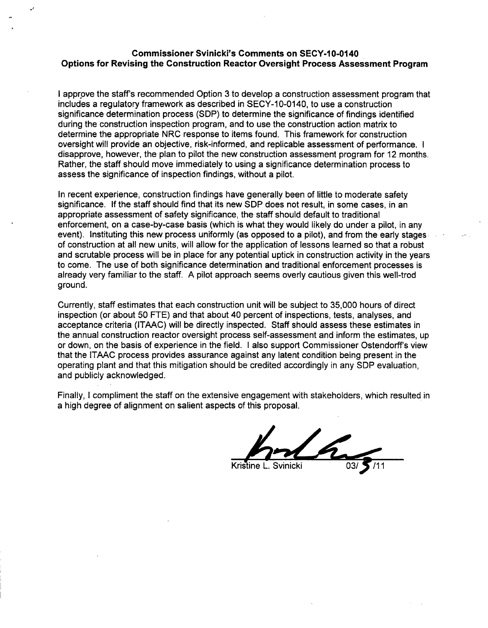### Commissioner Svinicki's Comments on SECY-10-0140 Options for Revising the Construction Reactor Oversight Process Assessment Program

ot

I approve the staff's recommended Option 3 to develop a construction assessment program that includes a regulatory framework as described in SECY-10-0140, to use a construction significance determination process (SDP) to determine the significance of findings identified during the construction inspection program, and to use the construction action matrix to determine the appropriate NRC response to items found. This framework for construction oversight will provide an objective, risk-informed, and replicable assessment of performance. I disapprove, however, the plan to pilot the new construction assessment program for 12 months. Rather, the staff should move immediately to using a significance determination process to assess the significance of inspection findings, without a pilot.

In recent experience, construction findings have generally been of little to moderate safety significance. If the staff should find that its new SDP does not result, in some cases, in an appropriate assessment of safety significance, the staff should default to traditional enforcement, on a case-by-case basis (which is what they would likely do under a pilot, in any event). Instituting this new process uniformly (as opposed to a pilot), and from the early stages of construction at all new units, will allow for the application of lessons learned so that a robust and scrutable process will be in place for any potential uptick in construction activity in the years to come. The use of both significance determination and traditional enforcement processes is already very familiar to the staff. A pilot approach seems overly cautious given this well-trod ground.

Currently, staff estimates that each construction unit will be subject to 35,000 hours of direct inspection (or about 50 FTE) and that about 40 percent of inspections, tests, analyses, and acceptance criteria (ITAAC) will be directly inspected. Staff should assess these estimates in the annual construction reactor oversight process self-assessment and inform the estimates, up or down, on the basis of experience in the field. I also support Commissioner Ostendorff's view that the ITAAC process provides assurance against any latent condition being present in the operating plant and that this mitigation should be credited accordingly in any SDP evaluation, and publicly acknowledged.

Finally, I compliment the staff on the extensive engagement with stakeholders, which resulted in a high degree of alignment on salient aspects of this proposal.

Kristine L. Svinicki **03/**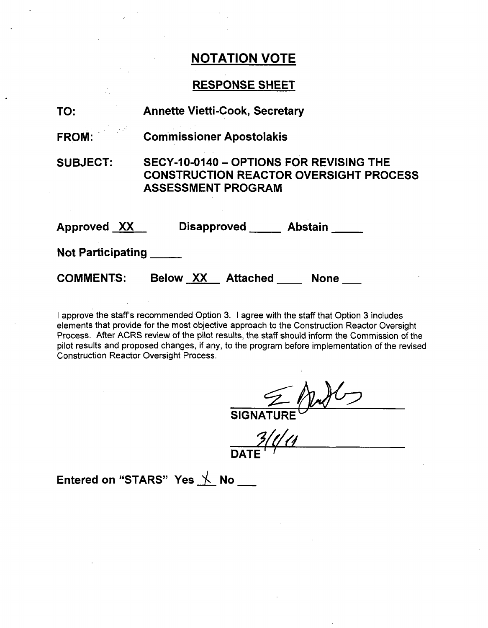### **RESPONSE SHEET**

| TO:                      | <b>Annette Vietti-Cook, Secretary</b>                                                                                 |  |  |  |
|--------------------------|-----------------------------------------------------------------------------------------------------------------------|--|--|--|
| FROM:                    | <b>Commissioner Apostolakis</b>                                                                                       |  |  |  |
| <b>SUBJECT:</b>          | SECY-10-0140 - OPTIONS FOR REVISING THE<br><b>CONSTRUCTION REACTOR OVERSIGHT PROCESS</b><br><b>ASSESSMENT PROGRAM</b> |  |  |  |
| Approved XX              | Disapproved Abstain                                                                                                   |  |  |  |
| <b>Not Participating</b> |                                                                                                                       |  |  |  |
| <b>COMMENTS:</b>         | Below XX<br><b>Attached</b><br><b>None</b>                                                                            |  |  |  |

I approve the staff's recommended Option 3. I agree with the staff that Option 3 includes elements that provide for the most objective approach to the Construction Reactor Oversight Process. After ACRS review of the pilot results, the staff should inform the Commission of the pilot results and proposed changes, if any, to the program before implementation of the revised Construction Reactor Oversight Process.

SIGNATURE **DATE**

Entered on "STARS" Yes  $\searrow$  No  $\_\_$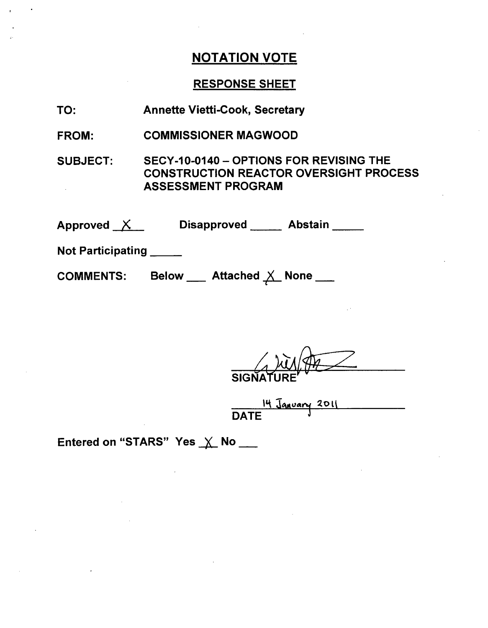## RESPONSE SHEET

| TO:                     | <b>Annette Vietti-Cook, Secretary</b>                                                                                 |  |  |  |
|-------------------------|-----------------------------------------------------------------------------------------------------------------------|--|--|--|
| <b>FROM:</b>            | <b>COMMISSIONER MAGWOOD</b>                                                                                           |  |  |  |
| <b>SUBJECT:</b>         | SECY-10-0140 - OPTIONS FOR REVISING THE<br><b>CONSTRUCTION REACTOR OVERSIGHT PROCESS</b><br><b>ASSESSMENT PROGRAM</b> |  |  |  |
|                         | Approved X Disapproved Abstain                                                                                        |  |  |  |
| Not Participating _____ |                                                                                                                       |  |  |  |
| <b>COMMENTS:</b>        | Below ___ Attached X None ___                                                                                         |  |  |  |

SIGNAT

14 January 201  $\overline{\phantom{a}}$ 

Entered on "STARS" Yes  $\times$  No \_\_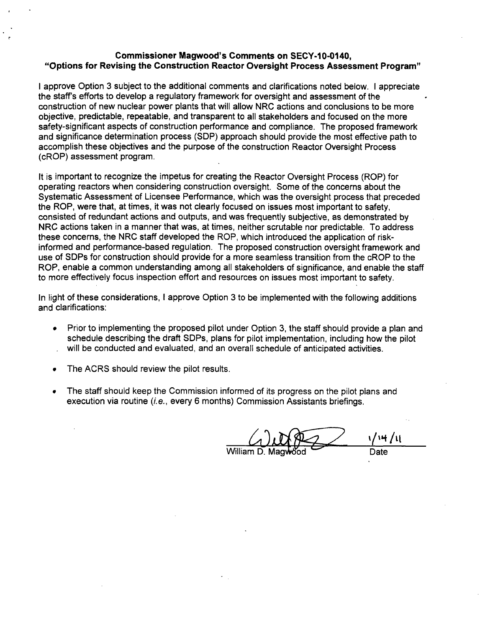### Commissioner Magwood's Comments on **SECY-1 0-0140,** "Options for Revising the Construction Reactor Oversight Process Assessment Program"

I approve Option 3 subject to the additional comments and clarifications noted below. I appreciate the staff's efforts to develop a regulatory framework for oversight and assessment of the construction of new nuclear power plants that will allow NRC actions and conclusions to be more objective, predictable, repeatable, and transparent to all stakeholders and focused on the more safety-significant aspects of construction performance and compliance. The proposed framework and significance determination process (SDP) approach should provide the most effective path to accomplish these objectives and the purpose of the construction Reactor Oversight Process (cROP) assessment program.

It is important to recognize the impetus for creating the Reactor Oversight Process (ROP) for operating reactors when considering construction oversight. Some of the concerns about the Systematic Assessment of Licensee Performance, which was the oversight process that preceded the ROP, were that, at times, it was not clearly focused on issues most important to safety, consisted of redundant actions and outputs, and was frequently subjective, as demonstrated by NRC actions taken in a manner that was, at times, neither scrutable nor predictable. To address these concerns, the NRC staff developed the ROP, which introduced the application of riskinformed and performance-based regulation. The proposed construction oversight framework and use of SDPs for construction should provide for a more seamless transition from the cROP to the ROP, enable a common understanding among all stakeholders of significance, and enable the staff to more effectively focus inspection effort and resources on issues most important to safety.

In light of these considerations, I approve Option 3 to be implemented with the following additions and clarifications:

- **"** Prior to implementing the proposed pilot under Option 3, the staff should provide a plan and schedule describing the draft SDPs, plans for pilot implementation, including how the pilot will be conducted and evaluated, and an overall schedule of anticipated activities.
- **"** The ACRS should review the pilot results.
- The staff should keep the Commission informed of its progress on the pilot plans and execution via routine (i.e., every 6 months) Commission Assistants briefings.

′ષ્મ /૫ William D. Magwood Date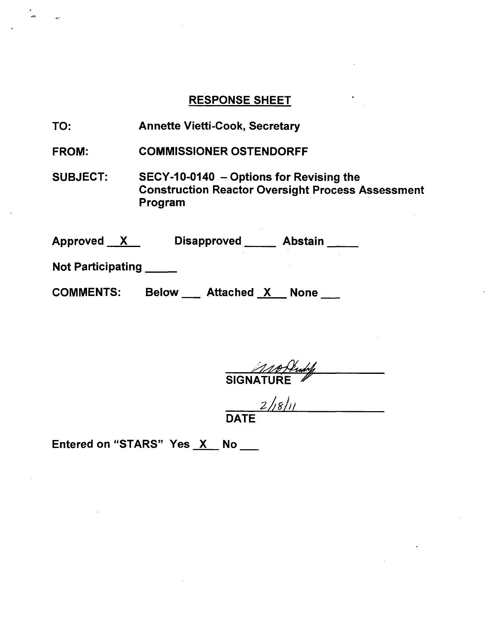## RESPONSE SHEET

TO: Annette Vietti-Cook, Secretary

FROM: COMMISSIONER OSTENDORFF

SUBJECT: SECY-10-0140 - Options for Revising the Construction Reactor Oversight Process Assessment Program

| Approved<br>$\mathbf{X}$ | <b>Disapproved</b>         | <b>Abstain</b> |
|--------------------------|----------------------------|----------------|
| <b>Not Participating</b> |                            |                |
| <b>COMMENTS:</b>         | Attached X<br><b>Below</b> | <b>None</b>    |

SIGNATURE **/**

 $\frac{2}{|8|}$ 

Entered on "STARS" Yes  $X$  No  $\frac{1}{1}$